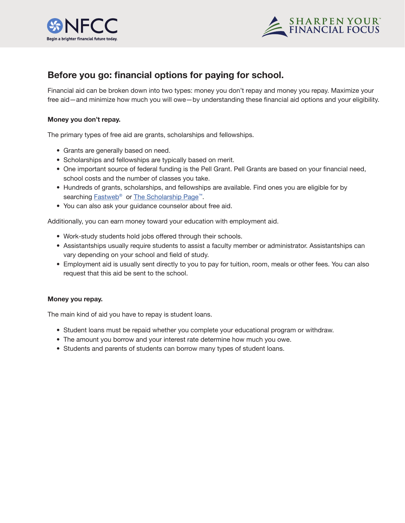



## **Before you go: financial options for paying for school.**

Financial aid can be broken down into two types: money you don't repay and money you repay. Maximize your free aid—and minimize how much you will owe—by understanding these financial aid options and your eligibility.

## **Money you don't repay.**

The primary types of free aid are grants, scholarships and fellowships.

- Grants are generally based on need.
- Scholarships and fellowships are typically based on merit.
- One important source of federal funding is the Pell Grant. Pell Grants are based on your financial need, school costs and the number of classes you take.
- Hundreds of grants, scholarships, and fellowships are available. Find ones you are eligible for by searching Fastweb<sup>®</sup> or The Scholarship Page<sup>™</sup>.
- You can also ask your guidance counselor about free aid.

Additionally, you can earn money toward your education with employment aid.

- Work-study students hold jobs offered through their schools.
- Assistantships usually require students to assist a faculty member or administrator. Assistantships can vary depending on your school and field of study.
- Employment aid is usually sent directly to you to pay for tuition, room, meals or other fees. You can also request that this aid be sent to the school.

## **Money you repay.**

The main kind of aid you have to repay is student loans.

- Student loans must be repaid whether you complete your educational program or withdraw.
- The amount you borrow and your interest rate determine how much you owe.
- Students and parents of students can borrow many types of student loans.